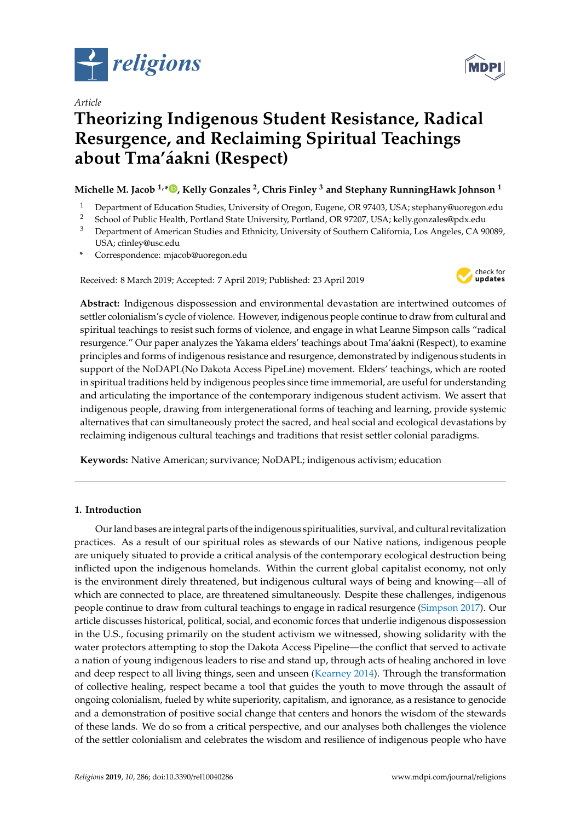

*Article*

# **Theorizing Indigenous Student Resistance, Radical Resurgence, and Reclaiming Spiritual Teachings about Tma'áakni (Respect)**

## **Michelle M. Jacob 1,\* [,](https://orcid.org/0000-0002-7008-3425) Kelly Gonzales <sup>2</sup> , Chris Finley <sup>3</sup> and Stephany RunningHawk Johnson <sup>1</sup>**

- 1 Department of Education Studies, University of Oregon, Eugene, OR 97403, USA; stephany@uoregon.edu<br>2 Seboal of Public Hoalth, Portland State University, Portland, OR 97207, USA; kelly conrelac@ndy.edu.
- <sup>2</sup> School of Public Health, Portland State University, Portland, OR 97207, USA; kelly.gonzales@pdx.edu
- <sup>3</sup> Department of American Studies and Ethnicity, University of Southern California, Los Angeles, CA 90089, USA; cfinley@usc.edu
- **\*** Correspondence: mjacob@uoregon.edu

Received: 8 March 2019; Accepted: 7 April 2019; Published: 23 April 2019



**Abstract:** Indigenous dispossession and environmental devastation are intertwined outcomes of settler colonialism's cycle of violence. However, indigenous people continue to draw from cultural and spiritual teachings to resist such forms of violence, and engage in what Leanne Simpson calls "radical resurgence." Our paper analyzes the Yakama elders' teachings about Tma'áakni (Respect), to examine principles and forms of indigenous resistance and resurgence, demonstrated by indigenous students in support of the NoDAPL(No Dakota Access PipeLine) movement. Elders' teachings, which are rooted in spiritual traditions held by indigenous peoples since time immemorial, are useful for understanding and articulating the importance of the contemporary indigenous student activism. We assert that indigenous people, drawing from intergenerational forms of teaching and learning, provide systemic alternatives that can simultaneously protect the sacred, and heal social and ecological devastations by reclaiming indigenous cultural teachings and traditions that resist settler colonial paradigms.

**Keywords:** Native American; survivance; NoDAPL; indigenous activism; education

### **1. Introduction**

Our land bases are integral parts of the indigenous spiritualities, survival, and cultural revitalization practices. As a result of our spiritual roles as stewards of our Native nations, indigenous people are uniquely situated to provide a critical analysis of the contemporary ecological destruction being inflicted upon the indigenous homelands. Within the current global capitalist economy, not only is the environment direly threatened, but indigenous cultural ways of being and knowing—all of which are connected to place, are threatened simultaneously. Despite these challenges, indigenous people continue to draw from cultural teachings to engage in radical resurgence [\(Simpson](#page-12-0) [2017\)](#page-12-0). Our article discusses historical, political, social, and economic forces that underlie indigenous dispossession in the U.S., focusing primarily on the student activism we witnessed, showing solidarity with the water protectors attempting to stop the Dakota Access Pipeline—the conflict that served to activate a nation of young indigenous leaders to rise and stand up, through acts of healing anchored in love and deep respect to all living things, seen and unseen [\(Kearney](#page-11-0) [2014\)](#page-11-0). Through the transformation of collective healing, respect became a tool that guides the youth to move through the assault of ongoing colonialism, fueled by white superiority, capitalism, and ignorance, as a resistance to genocide and a demonstration of positive social change that centers and honors the wisdom of the stewards of these lands. We do so from a critical perspective, and our analyses both challenges the violence of the settler colonialism and celebrates the wisdom and resilience of indigenous people who have

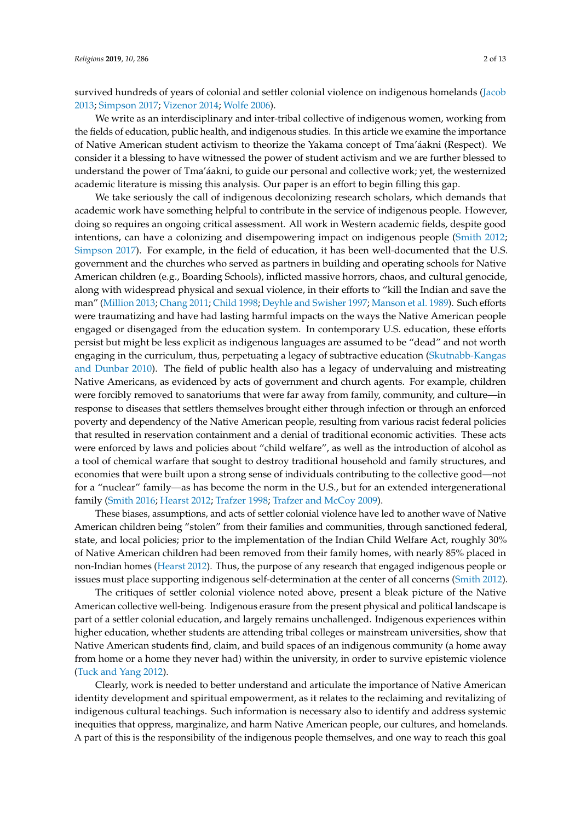survived hundreds of years of colonial and settler colonial violence on indigenous homelands [\(Jacob](#page-11-1) [2013;](#page-11-1) [Simpson](#page-12-0) [2017;](#page-12-0) [Vizenor](#page-12-1) [2014;](#page-12-1) [Wolfe](#page-12-2) [2006\)](#page-12-2).

We write as an interdisciplinary and inter-tribal collective of indigenous women, working from the fields of education, public health, and indigenous studies. In this article we examine the importance of Native American student activism to theorize the Yakama concept of Tma'áakni (Respect). We consider it a blessing to have witnessed the power of student activism and we are further blessed to understand the power of Tma'áakni, to guide our personal and collective work; yet, the westernized academic literature is missing this analysis. Our paper is an effort to begin filling this gap.

We take seriously the call of indigenous decolonizing research scholars, which demands that academic work have something helpful to contribute in the service of indigenous people. However, doing so requires an ongoing critical assessment. All work in Western academic fields, despite good intentions, can have a colonizing and disempowering impact on indigenous people [\(Smith](#page-12-3) [2012;](#page-12-3) [Simpson](#page-12-0) [2017\)](#page-12-0). For example, in the field of education, it has been well-documented that the U.S. government and the churches who served as partners in building and operating schools for Native American children (e.g., Boarding Schools), inflicted massive horrors, chaos, and cultural genocide, along with widespread physical and sexual violence, in their efforts to "kill the Indian and save the man" [\(Million](#page-12-4) [2013;](#page-12-4) [Chang](#page-11-2) [2011;](#page-11-2) [Child](#page-11-3) [1998;](#page-11-3) [Deyhle and Swisher](#page-11-4) [1997;](#page-11-4) [Manson et al.](#page-12-5) [1989\)](#page-12-5). Such efforts were traumatizing and have had lasting harmful impacts on the ways the Native American people engaged or disengaged from the education system. In contemporary U.S. education, these efforts persist but might be less explicit as indigenous languages are assumed to be "dead" and not worth engaging in the curriculum, thus, perpetuating a legacy of subtractive education [\(Skutnabb-Kangas](#page-12-6) [and Dunbar](#page-12-6) [2010\)](#page-12-6). The field of public health also has a legacy of undervaluing and mistreating Native Americans, as evidenced by acts of government and church agents. For example, children were forcibly removed to sanatoriums that were far away from family, community, and culture—in response to diseases that settlers themselves brought either through infection or through an enforced poverty and dependency of the Native American people, resulting from various racist federal policies that resulted in reservation containment and a denial of traditional economic activities. These acts were enforced by laws and policies about "child welfare", as well as the introduction of alcohol as a tool of chemical warfare that sought to destroy traditional household and family structures, and economies that were built upon a strong sense of individuals contributing to the collective good—not for a "nuclear" family—as has become the norm in the U.S., but for an extended intergenerational family [\(Smith](#page-12-7) [2016;](#page-12-7) [Hearst](#page-11-5) [2012;](#page-11-5) [Trafzer](#page-12-8) [1998;](#page-12-8) [Trafzer and McCoy](#page-12-9) [2009\)](#page-12-9).

These biases, assumptions, and acts of settler colonial violence have led to another wave of Native American children being "stolen" from their families and communities, through sanctioned federal, state, and local policies; prior to the implementation of the Indian Child Welfare Act, roughly 30% of Native American children had been removed from their family homes, with nearly 85% placed in non-Indian homes [\(Hearst](#page-11-5) [2012\)](#page-11-5). Thus, the purpose of any research that engaged indigenous people or issues must place supporting indigenous self-determination at the center of all concerns [\(Smith](#page-12-3) [2012\)](#page-12-3).

The critiques of settler colonial violence noted above, present a bleak picture of the Native American collective well-being. Indigenous erasure from the present physical and political landscape is part of a settler colonial education, and largely remains unchallenged. Indigenous experiences within higher education, whether students are attending tribal colleges or mainstream universities, show that Native American students find, claim, and build spaces of an indigenous community (a home away from home or a home they never had) within the university, in order to survive epistemic violence [\(Tuck and Yang](#page-12-10) [2012\)](#page-12-10).

Clearly, work is needed to better understand and articulate the importance of Native American identity development and spiritual empowerment, as it relates to the reclaiming and revitalizing of indigenous cultural teachings. Such information is necessary also to identify and address systemic inequities that oppress, marginalize, and harm Native American people, our cultures, and homelands. A part of this is the responsibility of the indigenous people themselves, and one way to reach this goal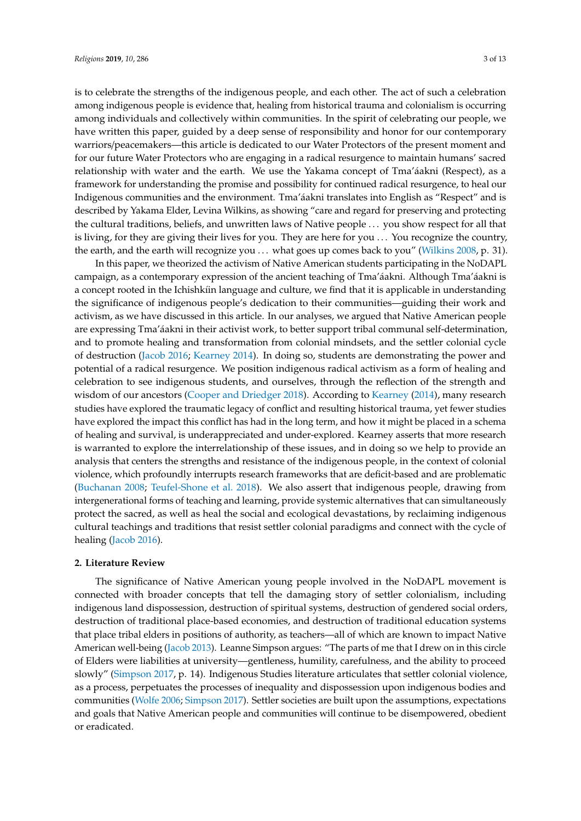is to celebrate the strengths of the indigenous people, and each other. The act of such a celebration among indigenous people is evidence that, healing from historical trauma and colonialism is occurring among individuals and collectively within communities. In the spirit of celebrating our people, we have written this paper, guided by a deep sense of responsibility and honor for our contemporary warriors/peacemakers—this article is dedicated to our Water Protectors of the present moment and for our future Water Protectors who are engaging in a radical resurgence to maintain humans' sacred relationship with water and the earth. We use the Yakama concept of Tma'áakni (Respect), as a framework for understanding the promise and possibility for continued radical resurgence, to heal our Indigenous communities and the environment. Tma'áakni translates into English as "Respect" and is described by Yakama Elder, Levina Wilkins, as showing "care and regard for preserving and protecting the cultural traditions, beliefs, and unwritten laws of Native people . . . you show respect for all that is living, for they are giving their lives for you. They are here for you . . . You recognize the country, the earth, and the earth will recognize you . . . what goes up comes back to you" [\(Wilkins](#page-12-11) [2008,](#page-12-11) p. 31).

In this paper, we theorized the activism of Native American students participating in the NoDAPL campaign, as a contemporary expression of the ancient teaching of Tma'áakni. Although Tma'áakni is a concept rooted in the Ichishkíin language and culture, we find that it is applicable in understanding the significance of indigenous people's dedication to their communities—guiding their work and activism, as we have discussed in this article. In our analyses, we argued that Native American people are expressing Tma'áakni in their activist work, to better support tribal communal self-determination, and to promote healing and transformation from colonial mindsets, and the settler colonial cycle of destruction [\(Jacob](#page-11-6) [2016;](#page-11-6) [Kearney](#page-11-0) [2014\)](#page-11-0). In doing so, students are demonstrating the power and potential of a radical resurgence. We position indigenous radical activism as a form of healing and celebration to see indigenous students, and ourselves, through the reflection of the strength and wisdom of our ancestors [\(Cooper and Driedger](#page-11-7) [2018\)](#page-11-7). According to [Kearney](#page-11-0) [\(2014\)](#page-11-0), many research studies have explored the traumatic legacy of conflict and resulting historical trauma, yet fewer studies have explored the impact this conflict has had in the long term, and how it might be placed in a schema of healing and survival, is underappreciated and under-explored. Kearney asserts that more research is warranted to explore the interrelationship of these issues, and in doing so we help to provide an analysis that centers the strengths and resistance of the indigenous people, in the context of colonial violence, which profoundly interrupts research frameworks that are deficit-based and are problematic [\(Buchanan](#page-11-8) [2008;](#page-11-8) [Teufel-Shone et al.](#page-12-12) [2018\)](#page-12-12). We also assert that indigenous people, drawing from intergenerational forms of teaching and learning, provide systemic alternatives that can simultaneously protect the sacred, as well as heal the social and ecological devastations, by reclaiming indigenous cultural teachings and traditions that resist settler colonial paradigms and connect with the cycle of healing [\(Jacob](#page-11-6) [2016\)](#page-11-6).

#### **2. Literature Review**

The significance of Native American young people involved in the NoDAPL movement is connected with broader concepts that tell the damaging story of settler colonialism, including indigenous land dispossession, destruction of spiritual systems, destruction of gendered social orders, destruction of traditional place-based economies, and destruction of traditional education systems that place tribal elders in positions of authority, as teachers—all of which are known to impact Native American well-being [\(Jacob](#page-11-1) [2013\)](#page-11-1). Leanne Simpson argues: "The parts of me that I drew on in this circle of Elders were liabilities at university—gentleness, humility, carefulness, and the ability to proceed slowly" [\(Simpson](#page-12-0) [2017,](#page-12-0) p. 14). Indigenous Studies literature articulates that settler colonial violence, as a process, perpetuates the processes of inequality and dispossession upon indigenous bodies and communities [\(Wolfe](#page-12-2) [2006;](#page-12-2) [Simpson](#page-12-0) [2017\)](#page-12-0). Settler societies are built upon the assumptions, expectations and goals that Native American people and communities will continue to be disempowered, obedient or eradicated.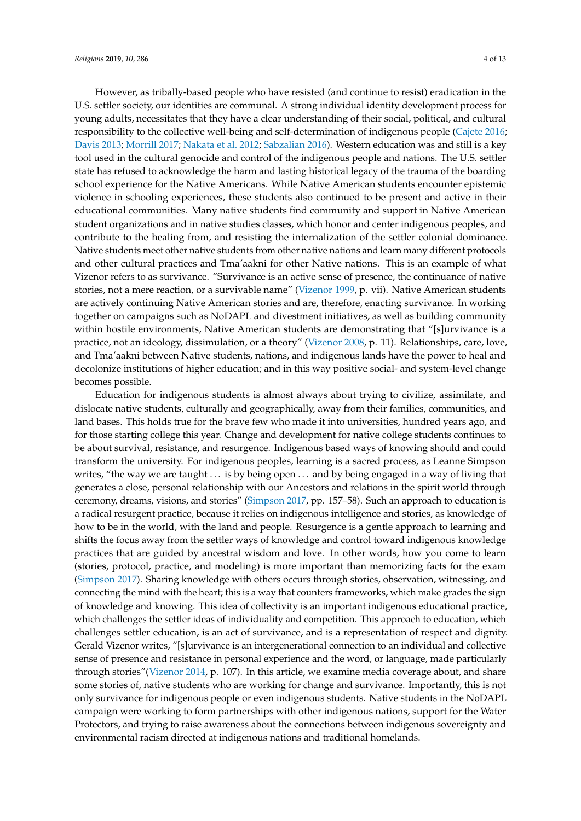However, as tribally-based people who have resisted (and continue to resist) eradication in the U.S. settler society, our identities are communal. A strong individual identity development process for young adults, necessitates that they have a clear understanding of their social, political, and cultural responsibility to the collective well-being and self-determination of indigenous people [\(Cajete](#page-11-9) [2016;](#page-11-9) [Davis](#page-11-10) [2013;](#page-11-10) [Morrill](#page-12-13) [2017;](#page-12-13) [Nakata et al.](#page-12-14) [2012;](#page-12-14) [Sabzalian](#page-12-15) [2016\)](#page-12-15). Western education was and still is a key tool used in the cultural genocide and control of the indigenous people and nations. The U.S. settler state has refused to acknowledge the harm and lasting historical legacy of the trauma of the boarding school experience for the Native Americans. While Native American students encounter epistemic violence in schooling experiences, these students also continued to be present and active in their educational communities. Many native students find community and support in Native American student organizations and in native studies classes, which honor and center indigenous peoples, and contribute to the healing from, and resisting the internalization of the settler colonial dominance. Native students meet other native students from other native nations and learn many different protocols and other cultural practices and Tma'aakni for other Native nations. This is an example of what Vizenor refers to as survivance. "Survivance is an active sense of presence, the continuance of native stories, not a mere reaction, or a survivable name" [\(Vizenor](#page-12-16) [1999,](#page-12-16) p. vii). Native American students are actively continuing Native American stories and are, therefore, enacting survivance. In working together on campaigns such as NoDAPL and divestment initiatives, as well as building community within hostile environments, Native American students are demonstrating that "[s]urvivance is a practice, not an ideology, dissimulation, or a theory" [\(Vizenor](#page-12-17) [2008,](#page-12-17) p. 11). Relationships, care, love, and Tma'aakni between Native students, nations, and indigenous lands have the power to heal and decolonize institutions of higher education; and in this way positive social- and system-level change becomes possible.

Education for indigenous students is almost always about trying to civilize, assimilate, and dislocate native students, culturally and geographically, away from their families, communities, and land bases. This holds true for the brave few who made it into universities, hundred years ago, and for those starting college this year. Change and development for native college students continues to be about survival, resistance, and resurgence. Indigenous based ways of knowing should and could transform the university. For indigenous peoples, learning is a sacred process, as Leanne Simpson writes, "the way we are taught . . . is by being open . . . and by being engaged in a way of living that generates a close, personal relationship with our Ancestors and relations in the spirit world through ceremony, dreams, visions, and stories" [\(Simpson](#page-12-0) [2017,](#page-12-0) pp. 157–58). Such an approach to education is a radical resurgent practice, because it relies on indigenous intelligence and stories, as knowledge of how to be in the world, with the land and people. Resurgence is a gentle approach to learning and shifts the focus away from the settler ways of knowledge and control toward indigenous knowledge practices that are guided by ancestral wisdom and love. In other words, how you come to learn (stories, protocol, practice, and modeling) is more important than memorizing facts for the exam [\(Simpson](#page-12-0) [2017\)](#page-12-0). Sharing knowledge with others occurs through stories, observation, witnessing, and connecting the mind with the heart; this is a way that counters frameworks, which make grades the sign of knowledge and knowing. This idea of collectivity is an important indigenous educational practice, which challenges the settler ideas of individuality and competition. This approach to education, which challenges settler education, is an act of survivance, and is a representation of respect and dignity. Gerald Vizenor writes, "[s]urvivance is an intergenerational connection to an individual and collective sense of presence and resistance in personal experience and the word, or language, made particularly through stories"[\(Vizenor](#page-12-1) [2014,](#page-12-1) p. 107). In this article, we examine media coverage about, and share some stories of, native students who are working for change and survivance. Importantly, this is not only survivance for indigenous people or even indigenous students. Native students in the NoDAPL campaign were working to form partnerships with other indigenous nations, support for the Water Protectors, and trying to raise awareness about the connections between indigenous sovereignty and environmental racism directed at indigenous nations and traditional homelands.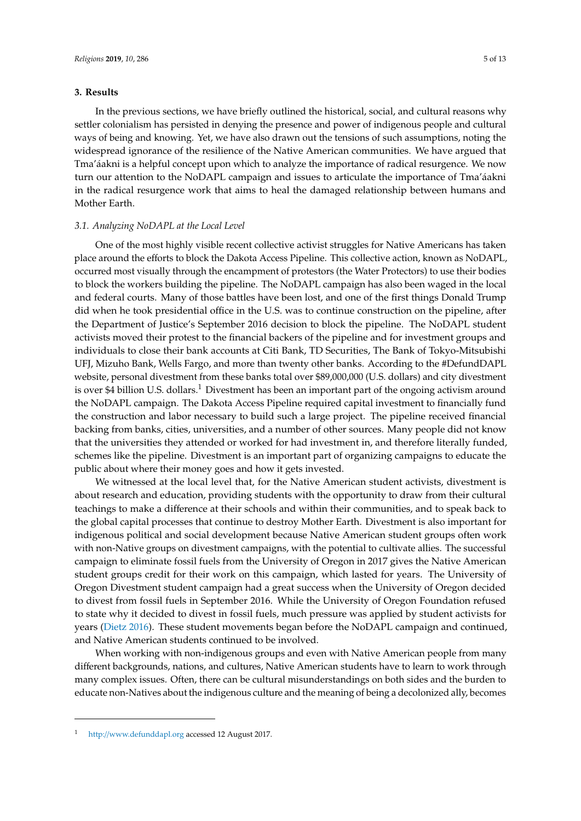#### **3. Results**

In the previous sections, we have briefly outlined the historical, social, and cultural reasons why settler colonialism has persisted in denying the presence and power of indigenous people and cultural ways of being and knowing. Yet, we have also drawn out the tensions of such assumptions, noting the widespread ignorance of the resilience of the Native American communities. We have argued that Tma'áakni is a helpful concept upon which to analyze the importance of radical resurgence. We now turn our attention to the NoDAPL campaign and issues to articulate the importance of Tma'áakni in the radical resurgence work that aims to heal the damaged relationship between humans and Mother Earth.

#### *3.1. Analyzing NoDAPL at the Local Level*

One of the most highly visible recent collective activist struggles for Native Americans has taken place around the efforts to block the Dakota Access Pipeline. This collective action, known as NoDAPL, occurred most visually through the encampment of protestors (the Water Protectors) to use their bodies to block the workers building the pipeline. The NoDAPL campaign has also been waged in the local and federal courts. Many of those battles have been lost, and one of the first things Donald Trump did when he took presidential office in the U.S. was to continue construction on the pipeline, after the Department of Justice's September 2016 decision to block the pipeline. The NoDAPL student activists moved their protest to the financial backers of the pipeline and for investment groups and individuals to close their bank accounts at Citi Bank, TD Securities, The Bank of Tokyo-Mitsubishi UFJ, Mizuho Bank, Wells Fargo, and more than twenty other banks. According to the #DefundDAPL website, personal divestment from these banks total over \$89,000,000 (U.S. dollars) and city divestment is over \$4 billion U.S. dollars.<sup>1</sup> Divestment has been an important part of the ongoing activism around the NoDAPL campaign. The Dakota Access Pipeline required capital investment to financially fund the construction and labor necessary to build such a large project. The pipeline received financial backing from banks, cities, universities, and a number of other sources. Many people did not know that the universities they attended or worked for had investment in, and therefore literally funded, schemes like the pipeline. Divestment is an important part of organizing campaigns to educate the public about where their money goes and how it gets invested.

We witnessed at the local level that, for the Native American student activists, divestment is about research and education, providing students with the opportunity to draw from their cultural teachings to make a difference at their schools and within their communities, and to speak back to the global capital processes that continue to destroy Mother Earth. Divestment is also important for indigenous political and social development because Native American student groups often work with non-Native groups on divestment campaigns, with the potential to cultivate allies. The successful campaign to eliminate fossil fuels from the University of Oregon in 2017 gives the Native American student groups credit for their work on this campaign, which lasted for years. The University of Oregon Divestment student campaign had a great success when the University of Oregon decided to divest from fossil fuels in September 2016. While the University of Oregon Foundation refused to state why it decided to divest in fossil fuels, much pressure was applied by student activists for years [\(Dietz](#page-11-11) [2016\)](#page-11-11). These student movements began before the NoDAPL campaign and continued, and Native American students continued to be involved.

When working with non-indigenous groups and even with Native American people from many different backgrounds, nations, and cultures, Native American students have to learn to work through many complex issues. Often, there can be cultural misunderstandings on both sides and the burden to educate non-Natives about the indigenous culture and the meaning of being a decolonized ally, becomes

<sup>1</sup> http://[www.defunddapl.org](http://www.defunddapl.org) accessed 12 August 2017.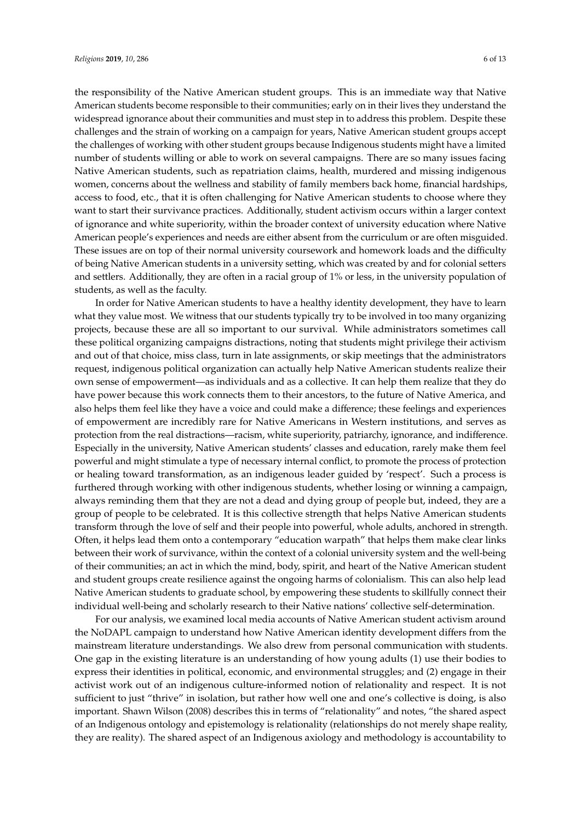the responsibility of the Native American student groups. This is an immediate way that Native American students become responsible to their communities; early on in their lives they understand the widespread ignorance about their communities and must step in to address this problem. Despite these challenges and the strain of working on a campaign for years, Native American student groups accept the challenges of working with other student groups because Indigenous students might have a limited number of students willing or able to work on several campaigns. There are so many issues facing Native American students, such as repatriation claims, health, murdered and missing indigenous women, concerns about the wellness and stability of family members back home, financial hardships, access to food, etc., that it is often challenging for Native American students to choose where they want to start their survivance practices. Additionally, student activism occurs within a larger context of ignorance and white superiority, within the broader context of university education where Native American people's experiences and needs are either absent from the curriculum or are often misguided. These issues are on top of their normal university coursework and homework loads and the difficulty of being Native American students in a university setting, which was created by and for colonial setters and settlers. Additionally, they are often in a racial group of 1% or less, in the university population of students, as well as the faculty.

In order for Native American students to have a healthy identity development, they have to learn what they value most. We witness that our students typically try to be involved in too many organizing projects, because these are all so important to our survival. While administrators sometimes call these political organizing campaigns distractions, noting that students might privilege their activism and out of that choice, miss class, turn in late assignments, or skip meetings that the administrators request, indigenous political organization can actually help Native American students realize their own sense of empowerment—as individuals and as a collective. It can help them realize that they do have power because this work connects them to their ancestors, to the future of Native America, and also helps them feel like they have a voice and could make a difference; these feelings and experiences of empowerment are incredibly rare for Native Americans in Western institutions, and serves as protection from the real distractions—racism, white superiority, patriarchy, ignorance, and indifference. Especially in the university, Native American students' classes and education, rarely make them feel powerful and might stimulate a type of necessary internal conflict, to promote the process of protection or healing toward transformation, as an indigenous leader guided by 'respect'. Such a process is furthered through working with other indigenous students, whether losing or winning a campaign, always reminding them that they are not a dead and dying group of people but, indeed, they are a group of people to be celebrated. It is this collective strength that helps Native American students transform through the love of self and their people into powerful, whole adults, anchored in strength. Often, it helps lead them onto a contemporary "education warpath" that helps them make clear links between their work of survivance, within the context of a colonial university system and the well-being of their communities; an act in which the mind, body, spirit, and heart of the Native American student and student groups create resilience against the ongoing harms of colonialism. This can also help lead Native American students to graduate school, by empowering these students to skillfully connect their individual well-being and scholarly research to their Native nations' collective self-determination.

For our analysis, we examined local media accounts of Native American student activism around the NoDAPL campaign to understand how Native American identity development differs from the mainstream literature understandings. We also drew from personal communication with students. One gap in the existing literature is an understanding of how young adults (1) use their bodies to express their identities in political, economic, and environmental struggles; and (2) engage in their activist work out of an indigenous culture-informed notion of relationality and respect. It is not sufficient to just "thrive" in isolation, but rather how well one and one's collective is doing, is also important. Shawn Wilson (2008) describes this in terms of "relationality" and notes, "the shared aspect of an Indigenous ontology and epistemology is relationality (relationships do not merely shape reality, they are reality). The shared aspect of an Indigenous axiology and methodology is accountability to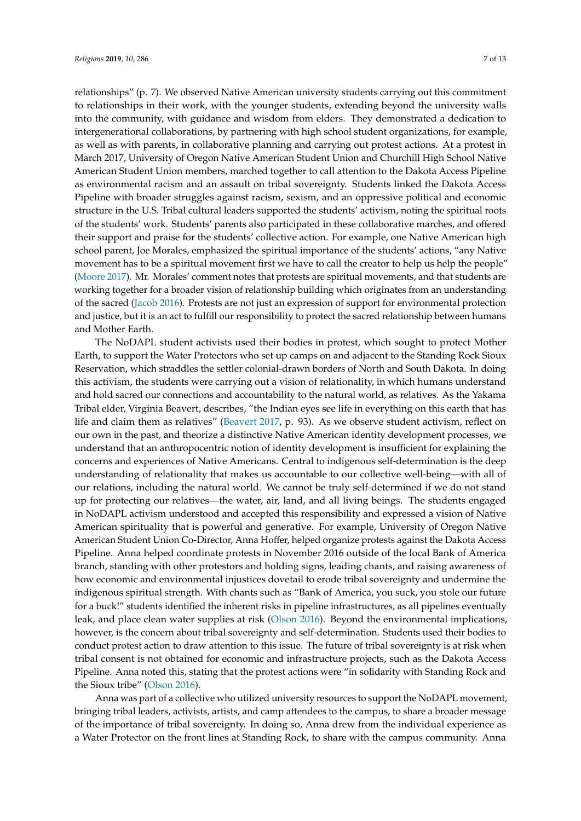relationships" (p. 7). We observed Native American university students carrying out this commitment to relationships in their work, with the younger students, extending beyond the university walls into the community, with guidance and wisdom from elders. They demonstrated a dedication to intergenerational collaborations, by partnering with high school student organizations, for example, as well as with parents, in collaborative planning and carrying out protest actions. At a protest in March 2017, University of Oregon Native American Student Union and Churchill High School Native American Student Union members, marched together to call attention to the Dakota Access Pipeline as environmental racism and an assault on tribal sovereignty. Students linked the Dakota Access Pipeline with broader struggles against racism, sexism, and an oppressive political and economic structure in the U.S. Tribal cultural leaders supported the students' activism, noting the spiritual roots of the students' work. Students' parents also participated in these collaborative marches, and offered their support and praise for the students' collective action. For example, one Native American high school parent, Joe Morales, emphasized the spiritual importance of the students' actions, "any Native movement has to be a spiritual movement first we have to call the creator to help us help the people" [\(Moore](#page-12-18) [2017\)](#page-12-18). Mr. Morales' comment notes that protests are spiritual movements, and that students are working together for a broader vision of relationship building which originates from an understanding of the sacred [\(Jacob](#page-11-6) [2016\)](#page-11-6). Protests are not just an expression of support for environmental protection and justice, but it is an act to fulfill our responsibility to protect the sacred relationship between humans and Mother Earth.

The NoDAPL student activists used their bodies in protest, which sought to protect Mother Earth, to support the Water Protectors who set up camps on and adjacent to the Standing Rock Sioux Reservation, which straddles the settler colonial-drawn borders of North and South Dakota. In doing this activism, the students were carrying out a vision of relationality, in which humans understand and hold sacred our connections and accountability to the natural world, as relatives. As the Yakama Tribal elder, Virginia Beavert, describes, "the Indian eyes see life in everything on this earth that has life and claim them as relatives" [\(Beavert](#page-11-12) [2017,](#page-11-12) p. 93). As we observe student activism, reflect on our own in the past, and theorize a distinctive Native American identity development processes, we understand that an anthropocentric notion of identity development is insufficient for explaining the concerns and experiences of Native Americans. Central to indigenous self-determination is the deep understanding of relationality that makes us accountable to our collective well-being—with all of our relations, including the natural world. We cannot be truly self-determined if we do not stand up for protecting our relatives—the water, air, land, and all living beings. The students engaged in NoDAPL activism understood and accepted this responsibility and expressed a vision of Native American spirituality that is powerful and generative. For example, University of Oregon Native American Student Union Co-Director, Anna Hoffer, helped organize protests against the Dakota Access Pipeline. Anna helped coordinate protests in November 2016 outside of the local Bank of America branch, standing with other protestors and holding signs, leading chants, and raising awareness of how economic and environmental injustices dovetail to erode tribal sovereignty and undermine the indigenous spiritual strength. With chants such as "Bank of America, you suck, you stole our future for a buck!" students identified the inherent risks in pipeline infrastructures, as all pipelines eventually leak, and place clean water supplies at risk [\(Olson](#page-12-19) [2016\)](#page-12-19). Beyond the environmental implications, however, is the concern about tribal sovereignty and self-determination. Students used their bodies to conduct protest action to draw attention to this issue. The future of tribal sovereignty is at risk when tribal consent is not obtained for economic and infrastructure projects, such as the Dakota Access Pipeline. Anna noted this, stating that the protest actions were "in solidarity with Standing Rock and the Sioux tribe" [\(Olson](#page-12-19) [2016\)](#page-12-19).

Anna was part of a collective who utilized university resources to support the NoDAPL movement, bringing tribal leaders, activists, artists, and camp attendees to the campus, to share a broader message of the importance of tribal sovereignty. In doing so, Anna drew from the individual experience as a Water Protector on the front lines at Standing Rock, to share with the campus community. Anna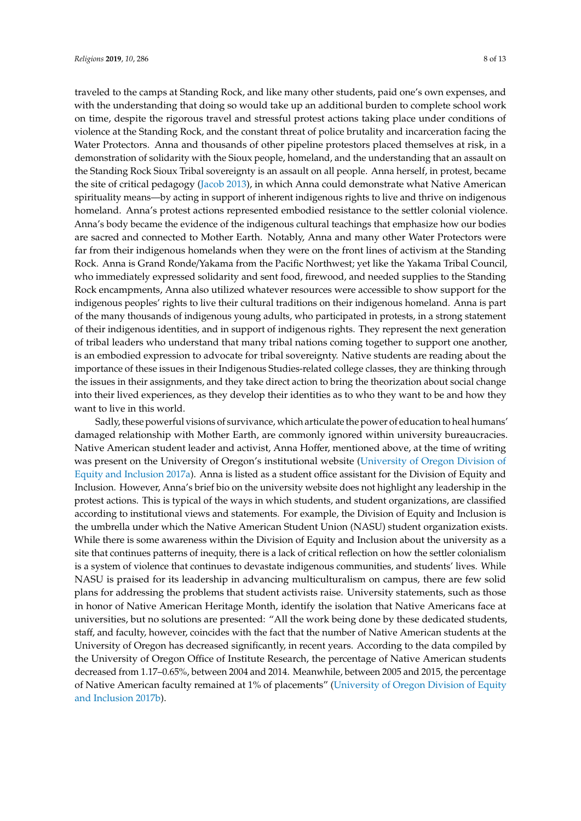traveled to the camps at Standing Rock, and like many other students, paid one's own expenses, and with the understanding that doing so would take up an additional burden to complete school work on time, despite the rigorous travel and stressful protest actions taking place under conditions of violence at the Standing Rock, and the constant threat of police brutality and incarceration facing the Water Protectors. Anna and thousands of other pipeline protestors placed themselves at risk, in a demonstration of solidarity with the Sioux people, homeland, and the understanding that an assault on the Standing Rock Sioux Tribal sovereignty is an assault on all people. Anna herself, in protest, became the site of critical pedagogy [\(Jacob](#page-11-1) [2013\)](#page-11-1), in which Anna could demonstrate what Native American spirituality means—by acting in support of inherent indigenous rights to live and thrive on indigenous homeland. Anna's protest actions represented embodied resistance to the settler colonial violence. Anna's body became the evidence of the indigenous cultural teachings that emphasize how our bodies are sacred and connected to Mother Earth. Notably, Anna and many other Water Protectors were far from their indigenous homelands when they were on the front lines of activism at the Standing Rock. Anna is Grand Ronde/Yakama from the Pacific Northwest; yet like the Yakama Tribal Council, who immediately expressed solidarity and sent food, firewood, and needed supplies to the Standing Rock encampments, Anna also utilized whatever resources were accessible to show support for the indigenous peoples' rights to live their cultural traditions on their indigenous homeland. Anna is part of the many thousands of indigenous young adults, who participated in protests, in a strong statement of their indigenous identities, and in support of indigenous rights. They represent the next generation of tribal leaders who understand that many tribal nations coming together to support one another, is an embodied expression to advocate for tribal sovereignty. Native students are reading about the importance of these issues in their Indigenous Studies-related college classes, they are thinking through the issues in their assignments, and they take direct action to bring the theorization about social change into their lived experiences, as they develop their identities as to who they want to be and how they want to live in this world.

Sadly, these powerful visions of survivance, which articulate the power of education to heal humans' damaged relationship with Mother Earth, are commonly ignored within university bureaucracies. Native American student leader and activist, Anna Hoffer, mentioned above, at the time of writing was present on the University of Oregon's institutional website [\(University of Oregon Division of](#page-12-20) [Equity and Inclusion](#page-12-20) [2017a\)](#page-12-20). Anna is listed as a student office assistant for the Division of Equity and Inclusion. However, Anna's brief bio on the university website does not highlight any leadership in the protest actions. This is typical of the ways in which students, and student organizations, are classified according to institutional views and statements. For example, the Division of Equity and Inclusion is the umbrella under which the Native American Student Union (NASU) student organization exists. While there is some awareness within the Division of Equity and Inclusion about the university as a site that continues patterns of inequity, there is a lack of critical reflection on how the settler colonialism is a system of violence that continues to devastate indigenous communities, and students' lives. While NASU is praised for its leadership in advancing multiculturalism on campus, there are few solid plans for addressing the problems that student activists raise. University statements, such as those in honor of Native American Heritage Month, identify the isolation that Native Americans face at universities, but no solutions are presented: "All the work being done by these dedicated students, staff, and faculty, however, coincides with the fact that the number of Native American students at the University of Oregon has decreased significantly, in recent years. According to the data compiled by the University of Oregon Office of Institute Research, the percentage of Native American students decreased from 1.17–0.65%, between 2004 and 2014. Meanwhile, between 2005 and 2015, the percentage of Native American faculty remained at 1% of placements" [\(University of Oregon Division of Equity](#page-12-21) [and Inclusion](#page-12-21) [2017b\)](#page-12-21).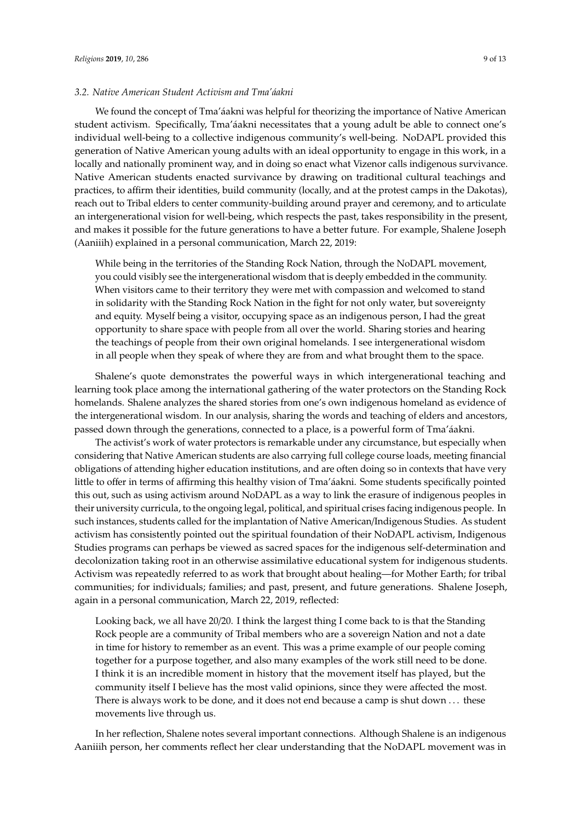#### *3.2. Native American Student Activism and Tma'áakni*

We found the concept of Tma'áakni was helpful for theorizing the importance of Native American student activism. Specifically, Tma'áakni necessitates that a young adult be able to connect one's individual well-being to a collective indigenous community's well-being. NoDAPL provided this generation of Native American young adults with an ideal opportunity to engage in this work, in a locally and nationally prominent way, and in doing so enact what Vizenor calls indigenous survivance. Native American students enacted survivance by drawing on traditional cultural teachings and practices, to affirm their identities, build community (locally, and at the protest camps in the Dakotas), reach out to Tribal elders to center community-building around prayer and ceremony, and to articulate an intergenerational vision for well-being, which respects the past, takes responsibility in the present, and makes it possible for the future generations to have a better future. For example, Shalene Joseph (Aaniiih) explained in a personal communication, March 22, 2019:

While being in the territories of the Standing Rock Nation, through the NoDAPL movement, you could visibly see the intergenerational wisdom that is deeply embedded in the community. When visitors came to their territory they were met with compassion and welcomed to stand in solidarity with the Standing Rock Nation in the fight for not only water, but sovereignty and equity. Myself being a visitor, occupying space as an indigenous person, I had the great opportunity to share space with people from all over the world. Sharing stories and hearing the teachings of people from their own original homelands. I see intergenerational wisdom in all people when they speak of where they are from and what brought them to the space.

Shalene's quote demonstrates the powerful ways in which intergenerational teaching and learning took place among the international gathering of the water protectors on the Standing Rock homelands. Shalene analyzes the shared stories from one's own indigenous homeland as evidence of the intergenerational wisdom. In our analysis, sharing the words and teaching of elders and ancestors, passed down through the generations, connected to a place, is a powerful form of Tma'áakni.

The activist's work of water protectors is remarkable under any circumstance, but especially when considering that Native American students are also carrying full college course loads, meeting financial obligations of attending higher education institutions, and are often doing so in contexts that have very little to offer in terms of affirming this healthy vision of Tma'áakni. Some students specifically pointed this out, such as using activism around NoDAPL as a way to link the erasure of indigenous peoples in their university curricula, to the ongoing legal, political, and spiritual crises facing indigenous people. In such instances, students called for the implantation of Native American/Indigenous Studies. As student activism has consistently pointed out the spiritual foundation of their NoDAPL activism, Indigenous Studies programs can perhaps be viewed as sacred spaces for the indigenous self-determination and decolonization taking root in an otherwise assimilative educational system for indigenous students. Activism was repeatedly referred to as work that brought about healing—for Mother Earth; for tribal communities; for individuals; families; and past, present, and future generations. Shalene Joseph, again in a personal communication, March 22, 2019, reflected:

Looking back, we all have 20/20. I think the largest thing I come back to is that the Standing Rock people are a community of Tribal members who are a sovereign Nation and not a date in time for history to remember as an event. This was a prime example of our people coming together for a purpose together, and also many examples of the work still need to be done. I think it is an incredible moment in history that the movement itself has played, but the community itself I believe has the most valid opinions, since they were affected the most. There is always work to be done, and it does not end because a camp is shut down . . . these movements live through us.

In her reflection, Shalene notes several important connections. Although Shalene is an indigenous Aaniiih person, her comments reflect her clear understanding that the NoDAPL movement was in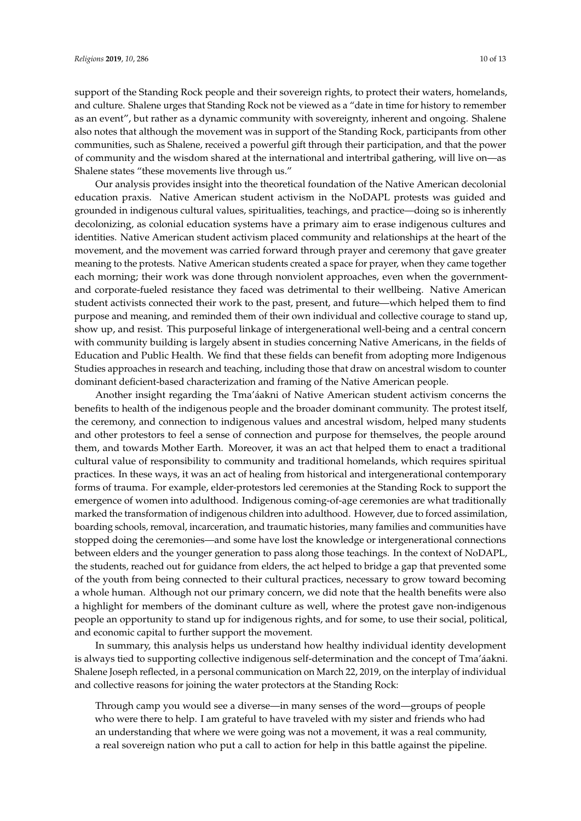support of the Standing Rock people and their sovereign rights, to protect their waters, homelands, and culture. Shalene urges that Standing Rock not be viewed as a "date in time for history to remember as an event", but rather as a dynamic community with sovereignty, inherent and ongoing. Shalene also notes that although the movement was in support of the Standing Rock, participants from other communities, such as Shalene, received a powerful gift through their participation, and that the power of community and the wisdom shared at the international and intertribal gathering, will live on—as Shalene states "these movements live through us."

Our analysis provides insight into the theoretical foundation of the Native American decolonial education praxis. Native American student activism in the NoDAPL protests was guided and grounded in indigenous cultural values, spiritualities, teachings, and practice—doing so is inherently decolonizing, as colonial education systems have a primary aim to erase indigenous cultures and identities. Native American student activism placed community and relationships at the heart of the movement, and the movement was carried forward through prayer and ceremony that gave greater meaning to the protests. Native American students created a space for prayer, when they came together each morning; their work was done through nonviolent approaches, even when the governmentand corporate-fueled resistance they faced was detrimental to their wellbeing. Native American student activists connected their work to the past, present, and future—which helped them to find purpose and meaning, and reminded them of their own individual and collective courage to stand up, show up, and resist. This purposeful linkage of intergenerational well-being and a central concern with community building is largely absent in studies concerning Native Americans, in the fields of Education and Public Health. We find that these fields can benefit from adopting more Indigenous Studies approaches in research and teaching, including those that draw on ancestral wisdom to counter dominant deficient-based characterization and framing of the Native American people.

Another insight regarding the Tma'áakni of Native American student activism concerns the benefits to health of the indigenous people and the broader dominant community. The protest itself, the ceremony, and connection to indigenous values and ancestral wisdom, helped many students and other protestors to feel a sense of connection and purpose for themselves, the people around them, and towards Mother Earth. Moreover, it was an act that helped them to enact a traditional cultural value of responsibility to community and traditional homelands, which requires spiritual practices. In these ways, it was an act of healing from historical and intergenerational contemporary forms of trauma. For example, elder-protestors led ceremonies at the Standing Rock to support the emergence of women into adulthood. Indigenous coming-of-age ceremonies are what traditionally marked the transformation of indigenous children into adulthood. However, due to forced assimilation, boarding schools, removal, incarceration, and traumatic histories, many families and communities have stopped doing the ceremonies—and some have lost the knowledge or intergenerational connections between elders and the younger generation to pass along those teachings. In the context of NoDAPL, the students, reached out for guidance from elders, the act helped to bridge a gap that prevented some of the youth from being connected to their cultural practices, necessary to grow toward becoming a whole human. Although not our primary concern, we did note that the health benefits were also a highlight for members of the dominant culture as well, where the protest gave non-indigenous people an opportunity to stand up for indigenous rights, and for some, to use their social, political, and economic capital to further support the movement.

In summary, this analysis helps us understand how healthy individual identity development is always tied to supporting collective indigenous self-determination and the concept of Tma'áakni. Shalene Joseph reflected, in a personal communication on March 22, 2019, on the interplay of individual and collective reasons for joining the water protectors at the Standing Rock:

Through camp you would see a diverse—in many senses of the word—groups of people who were there to help. I am grateful to have traveled with my sister and friends who had an understanding that where we were going was not a movement, it was a real community, a real sovereign nation who put a call to action for help in this battle against the pipeline.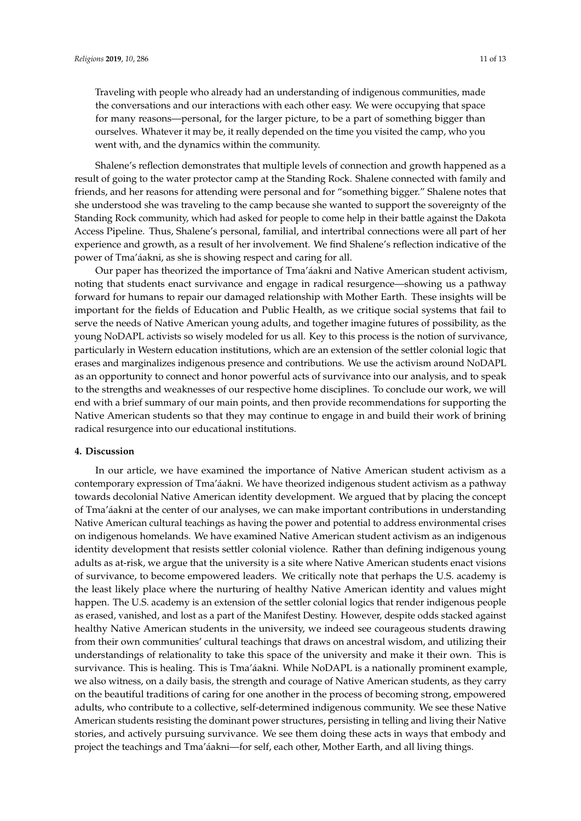Traveling with people who already had an understanding of indigenous communities, made the conversations and our interactions with each other easy. We were occupying that space for many reasons—personal, for the larger picture, to be a part of something bigger than ourselves. Whatever it may be, it really depended on the time you visited the camp, who you went with, and the dynamics within the community.

Shalene's reflection demonstrates that multiple levels of connection and growth happened as a result of going to the water protector camp at the Standing Rock. Shalene connected with family and friends, and her reasons for attending were personal and for "something bigger." Shalene notes that she understood she was traveling to the camp because she wanted to support the sovereignty of the Standing Rock community, which had asked for people to come help in their battle against the Dakota Access Pipeline. Thus, Shalene's personal, familial, and intertribal connections were all part of her experience and growth, as a result of her involvement. We find Shalene's reflection indicative of the power of Tma'áakni, as she is showing respect and caring for all.

Our paper has theorized the importance of Tma'áakni and Native American student activism, noting that students enact survivance and engage in radical resurgence—showing us a pathway forward for humans to repair our damaged relationship with Mother Earth. These insights will be important for the fields of Education and Public Health, as we critique social systems that fail to serve the needs of Native American young adults, and together imagine futures of possibility, as the young NoDAPL activists so wisely modeled for us all. Key to this process is the notion of survivance, particularly in Western education institutions, which are an extension of the settler colonial logic that erases and marginalizes indigenous presence and contributions. We use the activism around NoDAPL as an opportunity to connect and honor powerful acts of survivance into our analysis, and to speak to the strengths and weaknesses of our respective home disciplines. To conclude our work, we will end with a brief summary of our main points, and then provide recommendations for supporting the Native American students so that they may continue to engage in and build their work of brining radical resurgence into our educational institutions.

#### **4. Discussion**

In our article, we have examined the importance of Native American student activism as a contemporary expression of Tma'áakni. We have theorized indigenous student activism as a pathway towards decolonial Native American identity development. We argued that by placing the concept of Tma'áakni at the center of our analyses, we can make important contributions in understanding Native American cultural teachings as having the power and potential to address environmental crises on indigenous homelands. We have examined Native American student activism as an indigenous identity development that resists settler colonial violence. Rather than defining indigenous young adults as at-risk, we argue that the university is a site where Native American students enact visions of survivance, to become empowered leaders. We critically note that perhaps the U.S. academy is the least likely place where the nurturing of healthy Native American identity and values might happen. The U.S. academy is an extension of the settler colonial logics that render indigenous people as erased, vanished, and lost as a part of the Manifest Destiny. However, despite odds stacked against healthy Native American students in the university, we indeed see courageous students drawing from their own communities' cultural teachings that draws on ancestral wisdom, and utilizing their understandings of relationality to take this space of the university and make it their own. This is survivance. This is healing. This is Tma'áakni. While NoDAPL is a nationally prominent example, we also witness, on a daily basis, the strength and courage of Native American students, as they carry on the beautiful traditions of caring for one another in the process of becoming strong, empowered adults, who contribute to a collective, self-determined indigenous community. We see these Native American students resisting the dominant power structures, persisting in telling and living their Native stories, and actively pursuing survivance. We see them doing these acts in ways that embody and project the teachings and Tma'áakni—for self, each other, Mother Earth, and all living things.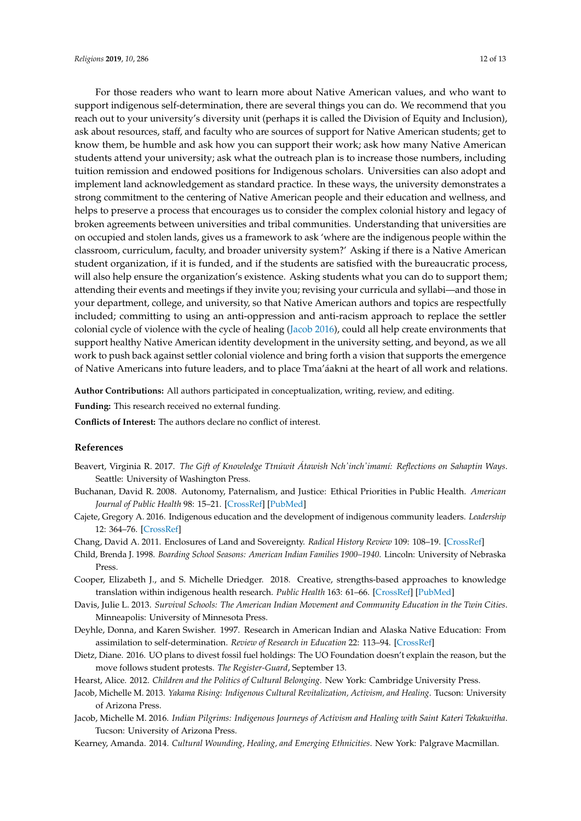For those readers who want to learn more about Native American values, and who want to support indigenous self-determination, there are several things you can do. We recommend that you reach out to your university's diversity unit (perhaps it is called the Division of Equity and Inclusion), ask about resources, staff, and faculty who are sources of support for Native American students; get to know them, be humble and ask how you can support their work; ask how many Native American students attend your university; ask what the outreach plan is to increase those numbers, including tuition remission and endowed positions for Indigenous scholars. Universities can also adopt and implement land acknowledgement as standard practice. In these ways, the university demonstrates a strong commitment to the centering of Native American people and their education and wellness, and helps to preserve a process that encourages us to consider the complex colonial history and legacy of broken agreements between universities and tribal communities. Understanding that universities are on occupied and stolen lands, gives us a framework to ask 'where are the indigenous people within the classroom, curriculum, faculty, and broader university system?' Asking if there is a Native American student organization, if it is funded, and if the students are satisfied with the bureaucratic process, will also help ensure the organization's existence. Asking students what you can do to support them, attending their events and meetings if they invite you; revising your curricula and syllabi—and those in your department, college, and university, so that Native American authors and topics are respectfully included; committing to using an anti-oppression and anti-racism approach to replace the settler colonial cycle of violence with the cycle of healing [\(Jacob](#page-11-6) [2016\)](#page-11-6), could all help create environments that support healthy Native American identity development in the university setting, and beyond, as we all work to push back against settler colonial violence and bring forth a vision that supports the emergence of Native Americans into future leaders, and to place Tma'áakni at the heart of all work and relations. Tma'áakni at the heart of all work and relations. Tma'áakni at the heart of all work and relations.

Author Contributions: All authors participated in conceptualization, writing, review, and editing.

**Funding:** This research received no external funding. **Funding:** This research received no external funding. **Funding:** This research received no external funding.

**Conflicts of Interest:** The authors declare no conflict of interest.

#### <span id="page-11-12"></span>**References References**

- Beavert, Virginia R. 2017. *The Gift of Knowledge Ttnúwit Átawish Nch'inch'imamí: Reflections on Sahaptin Ways*. Seattle: University of Washington Press.
- <span id="page-11-8"></span>Buchanan, David R. 2008. Autonomy, Paternalism, and Justice: Ethical Priorities in Public Health. American Journal of Public Health 98: 15–21. [CrossRef] [PubMed]
- <span id="page-11-9"></span>Cajete, Gregory A. 2016. Indigenous education and the development of indigenous community leaders. *Leadership* 12: 364–76. [\[CrossRef\]](http://dx.doi.org/10.1177/1742715015610412)
- <span id="page-11-2"></span>Chang, David A. 2011. Enclosures of Land and Sovereignty. *Radical History Review* 109: 108–19. [\[CrossRef\]](http://dx.doi.org/10.1215/01636545-2010-018)
- <span id="page-11-3"></span>Child, Brenda J. 1998. *Boarding School Seasons: American Indian Families 1900–1940*. Lincoln: University of Nebraska (Child 1998) Child, Brenda J. 1998. *Boarding School Seasons: American Indian Families 1900–1940*. Lincoln: (Child 1998) Child, Brenda J. 1998. *Boarding School Seasons: American Indian Families 1900–1940*. Lincoln: Press.
- <span id="page-11-7"></span>Cooper, Elizabeth J., and S. Michelle Driedger. 2018. Creative, strengths-based approaches to knowledge translation within indigenous health research. *Public Health* 163: 61–66. [CrossRef] [PubMed]
- <span id="page-11-10"></span>Davis, Julie L. 2013. Survival Schools: The American Indian Movement and Community Education in the Twin Cities. Minneapolis: University of Minnesota Press.
- <span id="page-11-11"></span><span id="page-11-4"></span>Deyhle, Donna, and Karen Swisher. 1997. Research in American Indian and Alaska Native Education: From assimilation to self-determination. Review of Research in Education 22: 113–94. [\[CrossRef\]](http://dx.doi.org/10.2307/1167375)
	- Dietz, Diane. 2016. UO plans to divest fossil fuel holdings: The UO Foundation doesn't explain the reason, but the move follows student protests. *The Register-Guard*, September 13.
- <span id="page-11-5"></span><span id="page-11-1"></span>Hearst, Alice. 2012. *Children and the Politics of Cultural Belonging*. New York: Cambridge University Press.
- Jacob, Michelle M. 2013. *Yakama Rising: Indigenous Cultural Revitalization, Activism, and Healing*. Tucson: University of Arizona Press.
- <span id="page-11-6"></span><span id="page-11-0"></span>Tucson: University of Arizona Press. Jacob, Michelle M. 2016. *Indian Pilgrims: Indigenous Journeys of Activism and Healing with Saint Kateri Tekakwitha* 
	- Kearney, Amanda. 2014. *Cultural Wounding, Healing, and Emerging Ethnicities*. New York: Palgrave Macmillan.